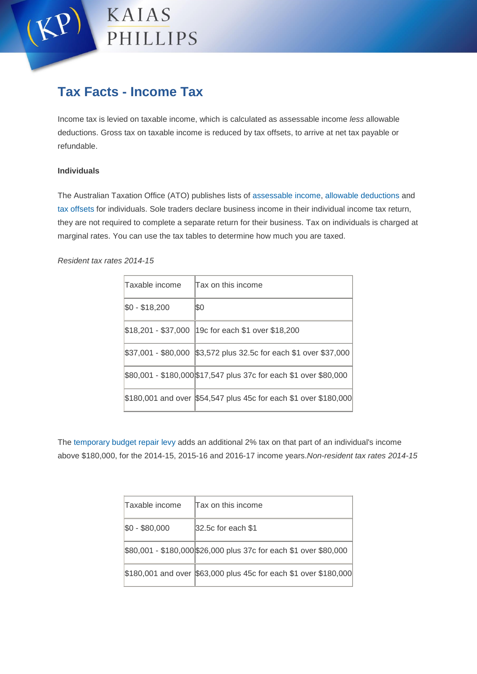

# **Tax Facts - Income Tax**

Income tax is levied on taxable income, which is calculated as assessable income *less* allowable deductions. Gross tax on taxable income is reduced by tax offsets, to arrive at net tax payable or refundable.

# **Individuals**

The Australian Taxation Office (ATO) publishes lists of [assessable income,](https://www.ato.gov.au/Individuals/Income-and-deductions/Income-you-must-declare/) [allowable deductions a](https://www.ato.gov.au/Individuals/Income-and-deductions/Deductions-you-can-claim/)nd [tax offsets f](https://www.ato.gov.au/Individuals/Income-and-deductions/Offsets-you-can-claim/)or individuals. Sole traders declare business income in their individual income tax return, they are not required to complete a separate return for their business. Tax on individuals is charged at marginal rates. You can use the tax tables to determine how much you are taxed.

*Resident tax rates 2014-15*

| Taxable income      | Tax on this income                                                |
|---------------------|-------------------------------------------------------------------|
| $$0 - $18,200$      | ISO                                                               |
| \$18,201 - \$37,000 | 19c for each \$1 over \$18,200                                    |
|                     | \$37,001 - \$80,000 \$3,572 plus 32.5c for each \$1 over \$37,000 |
|                     | \$80,001 - \$180,000 \$17,547 plus 37c for each \$1 over \$80,000 |
|                     | \$180,001 and over \$54,547 plus 45c for each \$1 over \$180,000  |

The [temporary budget repair levy](https://www.ato.gov.au/General/New-legislation/In-detail/Direct-taxes/Income-tax-for-individuals/Temporary-Budget-Repair-levy/) adds an additional 2% tax on that part of an individual's income above \$180,000, for the 2014-15, 2015-16 and 2016-17 income years.*Non-resident tax rates 2014-15*

| Taxable income | Tax on this income                                                |
|----------------|-------------------------------------------------------------------|
| $$0 - $80,000$ | 32.5c for each \$1                                                |
|                | \$80,001 - \$180,000 \$26,000 plus 37c for each \$1 over \$80,000 |
|                | \$180,001 and over \$63,000 plus 45c for each \$1 over \$180,000  |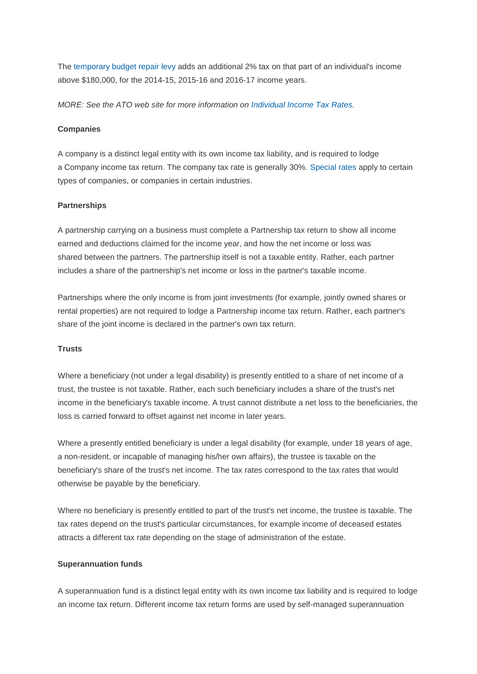The [temporary budget repair levy](https://www.ato.gov.au/General/New-legislation/In-detail/Direct-taxes/Income-tax-for-individuals/Temporary-Budget-Repair-levy/) adds an additional 2% tax on that part of an individual's income above \$180,000, for the 2014-15, 2015-16 and 2016-17 income years.

*MORE: See the ATO web site for more information on [Individual Income Tax Rates.](http://www.ato.gov.au/Rates/Individual-income-tax-rates/)* 

## **Companies**

A company is a distinct legal entity with its own income tax liability, and is required to lodge a Company income tax return. The company tax rate is generally 30%. [Special rates](https://www.ato.gov.au/Rates/Company-tax/) apply to certain types of companies, or companies in certain industries.

### **Partnerships**

A partnership carrying on a business must complete a Partnership tax return to show all income earned and deductions claimed for the income year, and how the net income or loss was shared between the partners. The partnership itself is not a taxable entity. Rather, each partner includes a share of the partnership's net income or loss in the partner's taxable income.

Partnerships where the only income is from joint investments (for example, jointly owned shares or rental properties) are not required to lodge a Partnership income tax return. Rather, each partner's share of the joint income is declared in the partner's own tax return.

#### **Trusts**

Where a beneficiary (not under a legal disability) is presently entitled to a share of net income of a trust, the trustee is not taxable. Rather, each such beneficiary includes a share of the trust's net income in the beneficiary's taxable income. A trust cannot distribute a net loss to the beneficiaries, the loss is carried forward to offset against net income in later years.

Where a presently entitled beneficiary is under a legal disability (for example, under 18 years of age, a non-resident, or incapable of managing his/her own affairs), the trustee is taxable on the beneficiary's share of the trust's net income. The tax rates correspond to the tax rates that would otherwise be payable by the beneficiary.

Where no beneficiary is presently entitled to part of the trust's net income, the trustee is taxable. The tax rates depend on the trust's particular circumstances, for example income of deceased estates attracts a different tax rate depending on the stage of administration of the estate.

#### **Superannuation funds**

A superannuation fund is a distinct legal entity with its own income tax liability and is required to lodge an income tax return. Different income tax return forms are used by self-managed superannuation